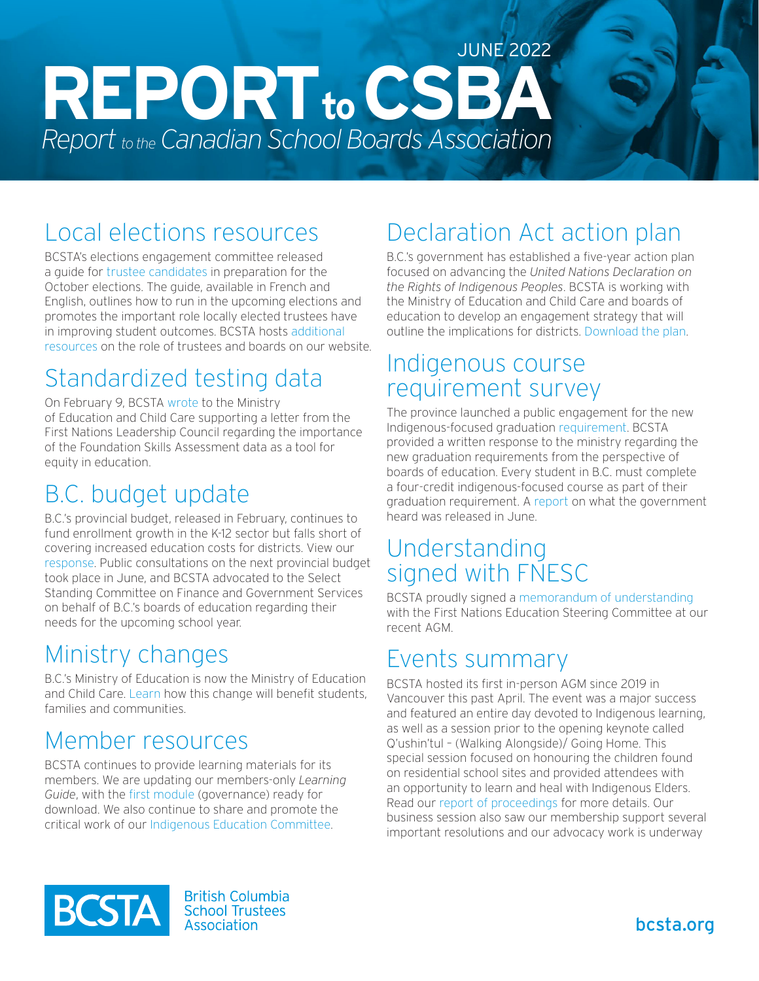# $REPORT$ <sub>to</sub> CSB **Report** to the Canadian School Boards Association JUNE 2022

# Local elections resources

BCSTA's elections engagement committee released a guide for [trustee candidates](https://bcsta.org/resources-and-services/trustee-elections/) in preparation for the October elections. The guide, available in French and English, outlines how to run in the upcoming elections and promotes the important role locally elected trustees have in improving student outcomes. BCSTA hosts [additional](https://bcsta.org/about/about-trustees/)  [resources](https://bcsta.org/about/about-trustees/) on the role of trustees and boards on our website.

# Standardized testing data

On February 9, BCSTA [wrote](https://bcsta.org/advocacy-response-to-fnlc-letter-on-fsas/) to the Ministry of Education and Child Care supporting a letter from the First Nations Leadership Council regarding the importance of the Foundation Skills Assessment data as a tool for equity in education.

# B.C. budget update

B.C.'s provincial budget, released in February, continues to fund enrollment growth in the K-12 sector but falls short of covering increased education costs for districts. View our [response.](https://bcsta.org/media-release-bcsta-response-to-budget-2022/) Public consultations on the next provincial budget took place in June, and BCSTA advocated to the Select Standing Committee on Finance and Government Services on behalf of B.C.'s boards of education regarding their needs for the upcoming school year.

## Ministry changes

B.C.'s Ministry of Education is now the Ministry of Education and Child Care. [Learn](https://www2.gov.bc.ca/gov/content/governments/organizational-structure/ministries-organizations/ministries/education) how this change will benefit students, families and communities.

### Member resources

BCSTA continues to provide learning materials for its members. We are updating our members-only *Learning Guide*, with the [first module](https://bcstahub.org/EmailNotificationLink.po?handle=11872160&name=BCSTA_Learning_Guide_-_Governance.pdf) (governance) ready for download. We also continue to share and promote the critical work of our [Indigenous Education Committee.](https://bcsta.org/resources-and-services/knowledge-series/)

# Declaration Act action plan

B.C.'s government has established a five-year action plan focused on advancing the *United Nations Declaration on the Rights of Indigenous Peoples*. BCSTA is working with the Ministry of Education and Child Care and boards of education to develop an engagement strategy that will outline the implications for districts. [Download the plan.](https://www2.gov.bc.ca/assets/gov/government/ministries-organizations/ministries/indigenous-relations-reconciliation/declaration_act_action_plan.pdf)

#### Indigenous course requirement survey

The province launched a public engagement for the new Indigenous-focused graduation [requirement.](https://engage.gov.bc.ca/indigenousgradrequirement/) BCSTA provided a written response to the ministry regarding the new graduation requirements from the perspective of boards of education. Every student in B.C. must complete a four-credit indigenous-focused course as part of their graduation requirement. A [report](https://engage.gov.bc.ca/app/uploads/sites/121/2022/06/What-We-Heard-Indigenous-Graduation-Requirement-June-16_22-Final.pdf) on what the government heard was released in June.

#### Understanding signed with FNESC

BCSTA proudly signed a [memorandum of understanding](https://bcsta.org/wp-content/uploads/2022/05/FNESC-MoU-signed.pdf) with the First Nations Education Steering Committee at our recent AGM.

## Events summary

BCSTA hosted its first in-person AGM since 2019 in Vancouver this past April. The event was a major success and featured an entire day devoted to Indigenous learning, as well as a session prior to the opening keynote called Q'ushin'tul – (Walking Alongside)/ Going Home. This special session focused on honouring the children found on residential school sites and provided attendees with an opportunity to learn and heal with Indigenous Elders. Read our [report of proceedings](https://bcsta.org/wp-content/uploads/2022/06/2022-AGM-Report-of-Proceedings.pdf) for more details. Our business session also saw our membership support several important resolutions and our advocacy work is underway



**British Columbia School Trustees** Association